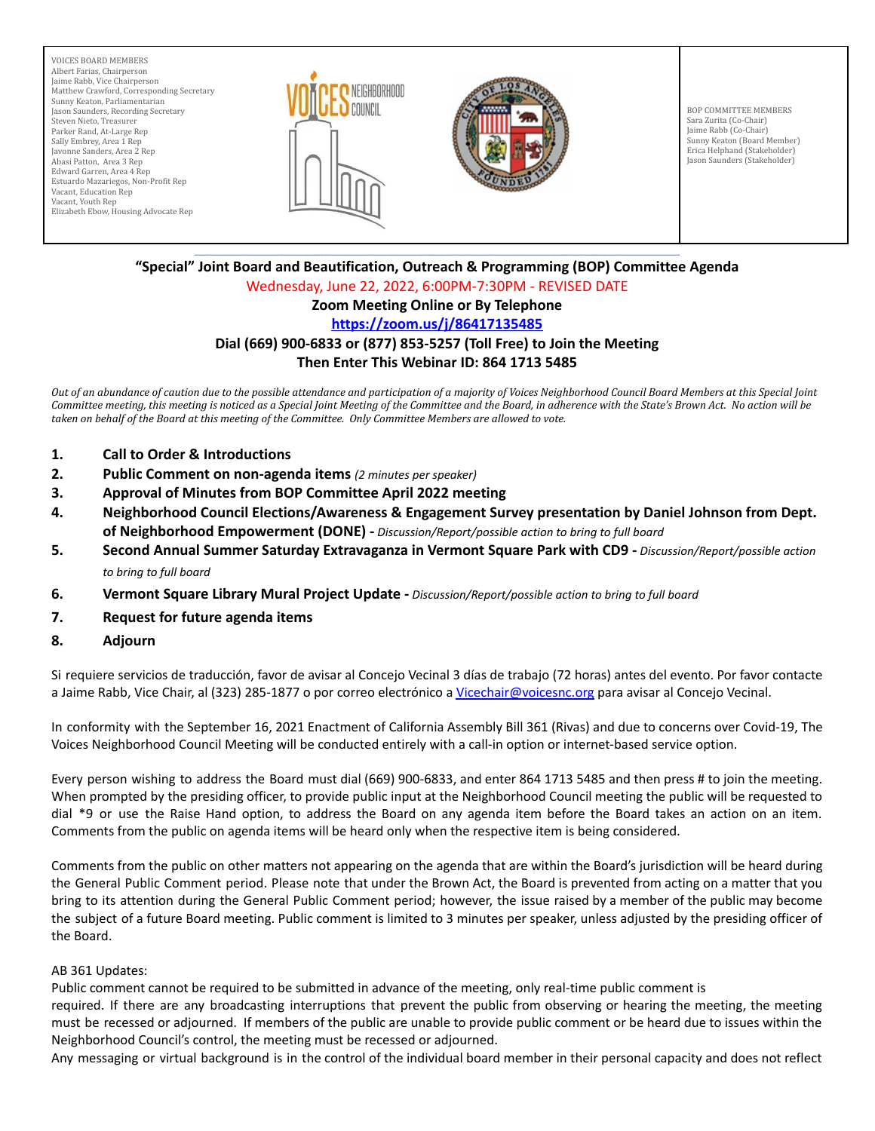VOICES BOARD MEMBERS Albert Farias, Chairperson Jaime Rabb, Vice Chairperson Matthew Crawford, Corresponding Secretary Sunny Keaton, Parliamentarian Jason Saunders, Recording Secretary Steven Nieto, Treasurer Parker Rand, At-Large Rep Sally Embrey, Area 1 Rep Javonne Sanders, Area 2 Rep Abasi Patton, Area 3 Rep Edward Garren, Area 4 Rep Estuardo Mazariegos, Non-Profit Rep Vacant, Education Rep Vacant, Youth Rep Elizabeth Ebow, Housing Advocate Rep





BOP COMMITTEE MEMBERS Sara Zurita (Co-Chair) Jaime Rabb (Co-Chair) Sunny Keaton (Board Member) Erica Helphand (Stakeholder) Jason Saunders (Stakeholder)

#### \_\_\_\_\_\_\_\_\_\_\_\_\_\_\_\_\_\_\_\_\_\_\_\_\_\_\_\_\_\_\_\_\_\_\_\_\_\_\_\_\_\_\_\_\_\_\_\_\_\_\_\_\_\_\_\_\_\_\_\_\_\_\_\_\_\_\_\_\_\_\_\_\_\_\_\_\_\_\_\_\_\_\_\_\_\_\_\_\_\_\_\_\_\_\_\_\_\_\_\_\_\_\_\_\_\_\_\_\_\_\_\_\_\_\_\_\_\_\_\_\_\_\_\_\_\_\_\_\_\_\_ **"Special" Joint Board and Beautification, Outreach & Programming (BOP) Committee Agenda** Wednesday, June 22, 2022, 6:00PM-7:30PM - REVISED DATE

# **Zoom Meeting Online or By Telephone**

## **<https://zoom.us/j/86417135485>**

## **Dial (669) 900-6833 or (877) 853-5257 (Toll Free) to Join the Meeting Then Enter This Webinar ID: 864 1713 5485**

Out of an abundance of caution due to the possible attendance and participation of a majority of Voices Neighborhood Council Board Members at this Special Joint Committee meeting, this meeting is noticed as a Special Joint Meeting of the Committee and the Board, in adherence with the State's Brown Act. No action will be taken on behalf of the Board at this meeting of the Committee. Only Committee Members are allowed to vote.

- **1. Call to Order & Introductions**
- **2. Public Comment on non-agenda items** *(2 minutes per speaker)*
- **3. Approval of Minutes from BOP Committee April 2022 meeting**
- **4. Neighborhood Council Elections/Awareness & Engagement Survey presentation by Daniel Johnson from Dept. of Neighborhood Empowerment (DONE) -** *Discussion/Report/possible action to bring to full board*
- **5. Second Annual Summer Saturday Extravaganza in Vermont Square Park with CD9 -** *Discussion/Report/possible action to bring to full board*
- **6. Vermont Square Library Mural Project Update -** *Discussion/Report/possible action to bring to full board*
- **7. Request for future agenda items**
- **8. Adjourn**

Si requiere servicios de traducción, favor de avisar al Concejo Vecinal 3 días de trabajo (72 horas) antes del evento. Por favor contacte a Jaime Rabb, Vice Chair, al (323) 285-1877 o por correo electrónico a [Vicechair@voicesnc.org](mailto:VNCCorrSec18@gmail.com) para avisar al Concejo Vecinal.

In conformity with the September 16, 2021 Enactment of California Assembly Bill 361 (Rivas) and due to concerns over Covid-19, The Voices Neighborhood Council Meeting will be conducted entirely with a call-in option or internet-based service option.

Every person wishing to address the Board must dial (669) 900-6833, and enter 864 1713 5485 and then press # to join the meeting. When prompted by the presiding officer, to provide public input at the Neighborhood Council meeting the public will be requested to dial \*9 or use the Raise Hand option, to address the Board on any agenda item before the Board takes an action on an item. Comments from the public on agenda items will be heard only when the respective item is being considered.

Comments from the public on other matters not appearing on the agenda that are within the Board's jurisdiction will be heard during the General Public Comment period. Please note that under the Brown Act, the Board is prevented from acting on a matter that you bring to its attention during the General Public Comment period; however, the issue raised by a member of the public may become the subject of a future Board meeting. Public comment is limited to 3 minutes per speaker, unless adjusted by the presiding officer of the Board.

#### AB 361 Updates:

Public comment cannot be required to be submitted in advance of the meeting, only real-time public comment is

required. If there are any broadcasting interruptions that prevent the public from observing or hearing the meeting, the meeting must be recessed or adjourned. If members of the public are unable to provide public comment or be heard due to issues within the Neighborhood Council's control, the meeting must be recessed or adjourned.

Any messaging or virtual background is in the control of the individual board member in their personal capacity and does not reflect